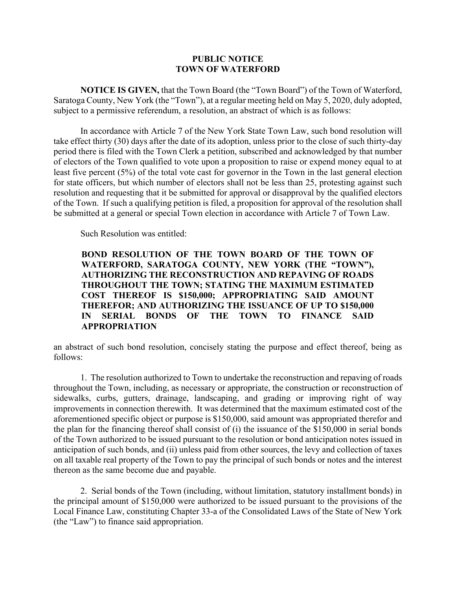## **PUBLIC NOTICE TOWN OF WATERFORD**

**NOTICE IS GIVEN,** that the Town Board (the "Town Board") of the Town of Waterford, Saratoga County, New York (the "Town"), at a regular meeting held on May 5, 2020, duly adopted, subject to a permissive referendum, a resolution, an abstract of which is as follows:

In accordance with Article 7 of the New York State Town Law, such bond resolution will take effect thirty (30) days after the date of its adoption, unless prior to the close of such thirty-day period there is filed with the Town Clerk a petition, subscribed and acknowledged by that number of electors of the Town qualified to vote upon a proposition to raise or expend money equal to at least five percent (5%) of the total vote cast for governor in the Town in the last general election for state officers, but which number of electors shall not be less than 25, protesting against such resolution and requesting that it be submitted for approval or disapproval by the qualified electors of the Town. If such a qualifying petition is filed, a proposition for approval of the resolution shall be submitted at a general or special Town election in accordance with Article 7 of Town Law.

Such Resolution was entitled:

## **BOND RESOLUTION OF THE TOWN BOARD OF THE TOWN OF WATERFORD, SARATOGA COUNTY, NEW YORK (THE "TOWN"), AUTHORIZING THE RECONSTRUCTION AND REPAVING OF ROADS THROUGHOUT THE TOWN; STATING THE MAXIMUM ESTIMATED COST THEREOF IS \$150,000; APPROPRIATING SAID AMOUNT THEREFOR; AND AUTHORIZING THE ISSUANCE OF UP TO \$150,000 IN SERIAL BONDS OF THE TOWN TO FINANCE SAID APPROPRIATION**

an abstract of such bond resolution, concisely stating the purpose and effect thereof, being as follows:

1. The resolution authorized to Town to undertake the reconstruction and repaving of roads throughout the Town, including, as necessary or appropriate, the construction or reconstruction of sidewalks, curbs, gutters, drainage, landscaping, and grading or improving right of way improvements in connection therewith. It was determined that the maximum estimated cost of the aforementioned specific object or purpose is \$150,000, said amount was appropriated therefor and the plan for the financing thereof shall consist of (i) the issuance of the \$150,000 in serial bonds of the Town authorized to be issued pursuant to the resolution or bond anticipation notes issued in anticipation of such bonds, and (ii) unless paid from other sources, the levy and collection of taxes on all taxable real property of the Town to pay the principal of such bonds or notes and the interest thereon as the same become due and payable.

 2. Serial bonds of the Town (including, without limitation, statutory installment bonds) in the principal amount of \$150,000 were authorized to be issued pursuant to the provisions of the Local Finance Law, constituting Chapter 33-a of the Consolidated Laws of the State of New York (the "Law") to finance said appropriation.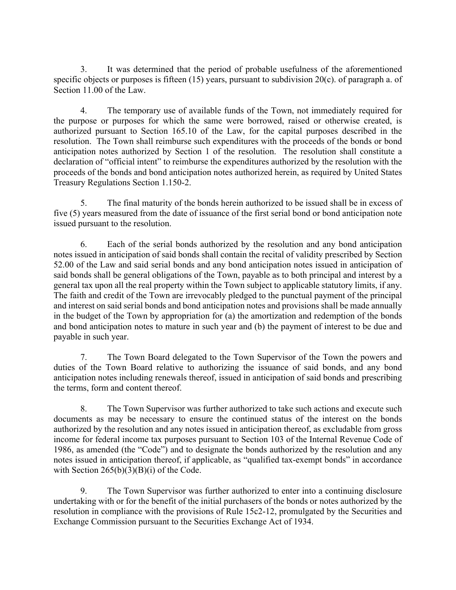3. It was determined that the period of probable usefulness of the aforementioned specific objects or purposes is fifteen (15) years, pursuant to subdivision 20(c). of paragraph a. of Section 11.00 of the Law.

4. The temporary use of available funds of the Town, not immediately required for the purpose or purposes for which the same were borrowed, raised or otherwise created, is authorized pursuant to Section 165.10 of the Law, for the capital purposes described in the resolution. The Town shall reimburse such expenditures with the proceeds of the bonds or bond anticipation notes authorized by Section 1 of the resolution. The resolution shall constitute a declaration of "official intent" to reimburse the expenditures authorized by the resolution with the proceeds of the bonds and bond anticipation notes authorized herein, as required by United States Treasury Regulations Section 1.150-2.

5. The final maturity of the bonds herein authorized to be issued shall be in excess of five (5) years measured from the date of issuance of the first serial bond or bond anticipation note issued pursuant to the resolution.

6. Each of the serial bonds authorized by the resolution and any bond anticipation notes issued in anticipation of said bonds shall contain the recital of validity prescribed by Section 52.00 of the Law and said serial bonds and any bond anticipation notes issued in anticipation of said bonds shall be general obligations of the Town, payable as to both principal and interest by a general tax upon all the real property within the Town subject to applicable statutory limits, if any. The faith and credit of the Town are irrevocably pledged to the punctual payment of the principal and interest on said serial bonds and bond anticipation notes and provisions shall be made annually in the budget of the Town by appropriation for (a) the amortization and redemption of the bonds and bond anticipation notes to mature in such year and (b) the payment of interest to be due and payable in such year.

7. The Town Board delegated to the Town Supervisor of the Town the powers and duties of the Town Board relative to authorizing the issuance of said bonds, and any bond anticipation notes including renewals thereof, issued in anticipation of said bonds and prescribing the terms, form and content thereof.

8. The Town Supervisor was further authorized to take such actions and execute such documents as may be necessary to ensure the continued status of the interest on the bonds authorized by the resolution and any notes issued in anticipation thereof, as excludable from gross income for federal income tax purposes pursuant to Section 103 of the Internal Revenue Code of 1986, as amended (the "Code") and to designate the bonds authorized by the resolution and any notes issued in anticipation thereof, if applicable, as "qualified tax-exempt bonds" in accordance with Section  $265(b)(3)(B)(i)$  of the Code.

9. The Town Supervisor was further authorized to enter into a continuing disclosure undertaking with or for the benefit of the initial purchasers of the bonds or notes authorized by the resolution in compliance with the provisions of Rule 15c2-12, promulgated by the Securities and Exchange Commission pursuant to the Securities Exchange Act of 1934.